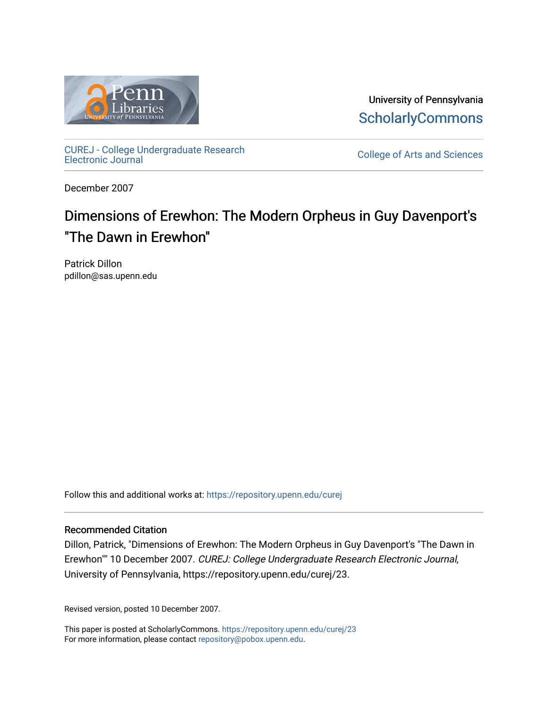

University of Pennsylvania **ScholarlyCommons** 

[CUREJ - College Undergraduate Research](https://repository.upenn.edu/curej) 

College of Arts and Sciences

December 2007

# Dimensions of Erewhon: The Modern Orpheus in Guy Davenport's "The Dawn in Erewhon"

Patrick Dillon pdillon@sas.upenn.edu

Follow this and additional works at: [https://repository.upenn.edu/curej](https://repository.upenn.edu/curej?utm_source=repository.upenn.edu%2Fcurej%2F23&utm_medium=PDF&utm_campaign=PDFCoverPages)

### Recommended Citation

Dillon, Patrick, "Dimensions of Erewhon: The Modern Orpheus in Guy Davenport's "The Dawn in Erewhon"" 10 December 2007. CUREJ: College Undergraduate Research Electronic Journal, University of Pennsylvania, https://repository.upenn.edu/curej/23.

Revised version, posted 10 December 2007.

This paper is posted at ScholarlyCommons.<https://repository.upenn.edu/curej/23> For more information, please contact [repository@pobox.upenn.edu.](mailto:repository@pobox.upenn.edu)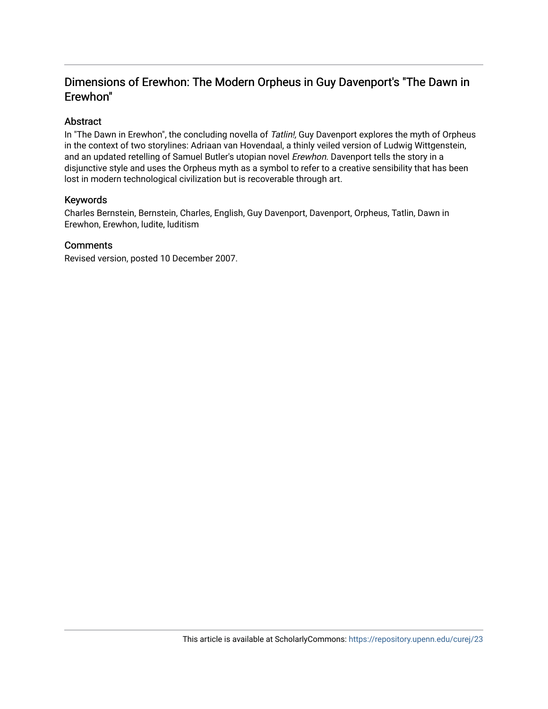## Dimensions of Erewhon: The Modern Orpheus in Guy Davenport's "The Dawn in Erewhon"

### Abstract

In "The Dawn in Erewhon", the concluding novella of Tatlin!, Guy Davenport explores the myth of Orpheus in the context of two storylines: Adriaan van Hovendaal, a thinly veiled version of Ludwig Wittgenstein, and an updated retelling of Samuel Butler's utopian novel Erewhon. Davenport tells the story in a disjunctive style and uses the Orpheus myth as a symbol to refer to a creative sensibility that has been lost in modern technological civilization but is recoverable through art.

### Keywords

Charles Bernstein, Bernstein, Charles, English, Guy Davenport, Davenport, Orpheus, Tatlin, Dawn in Erewhon, Erewhon, ludite, luditism

### **Comments**

Revised version, posted 10 December 2007.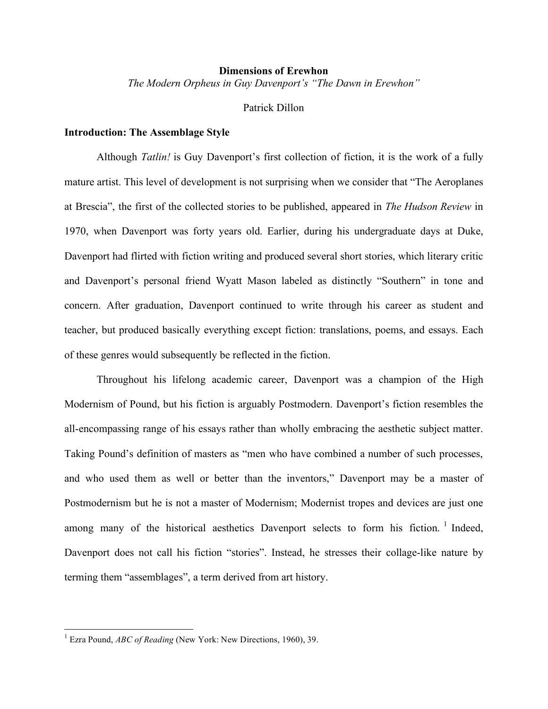### **Dimensions of Erewhon** *The Modern Orpheus in Guy Davenport's "The Dawn in Erewhon"*

### Patrick Dillon

### **Introduction: The Assemblage Style**

Although *Tatlin!* is Guy Davenport's first collection of fiction, it is the work of a fully mature artist. This level of development is not surprising when we consider that "The Aeroplanes at Brescia", the first of the collected stories to be published, appeared in *The Hudson Review* in 1970, when Davenport was forty years old. Earlier, during his undergraduate days at Duke, Davenport had flirted with fiction writing and produced several short stories, which literary critic and Davenport's personal friend Wyatt Mason labeled as distinctly "Southern" in tone and concern. After graduation, Davenport continued to write through his career as student and teacher, but produced basically everything except fiction: translations, poems, and essays. Each of these genres would subsequently be reflected in the fiction.

Throughout his lifelong academic career, Davenport was a champion of the High Modernism of Pound, but his fiction is arguably Postmodern. Davenport's fiction resembles the all-encompassing range of his essays rather than wholly embracing the aesthetic subject matter. Taking Pound's definition of masters as "men who have combined a number of such processes, and who used them as well or better than the inventors," Davenport may be a master of Postmodernism but he is not a master of Modernism; Modernist tropes and devices are just one among many of the historical aesthetics Davenport selects to form his fiction.<sup>1</sup> Indeed, Davenport does not call his fiction "stories". Instead, he stresses their collage-like nature by terming them "assemblages", a term derived from art history.

 <sup>1</sup> Ezra Pound, *ABC of Reading* (New York: New Directions, 1960), 39.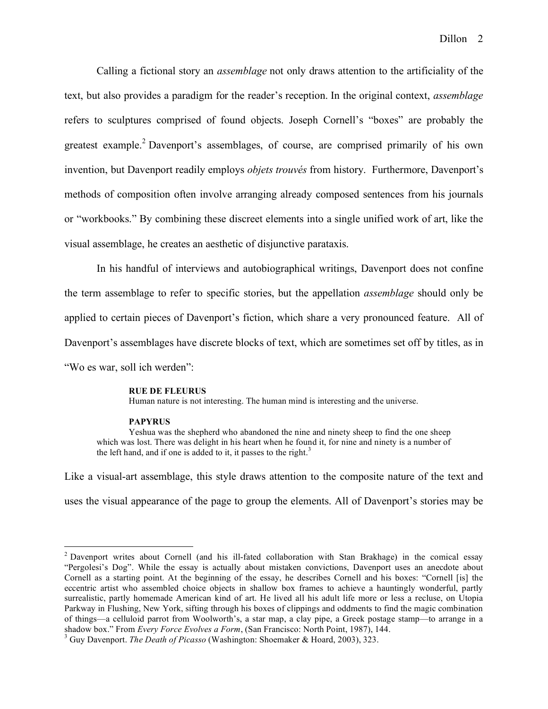Calling a fictional story an *assemblage* not only draws attention to the artificiality of the text, but also provides a paradigm for the reader's reception. In the original context, *assemblage* refers to sculptures comprised of found objects. Joseph Cornell's "boxes" are probably the greatest example. <sup>2</sup> Davenport's assemblages, of course, are comprised primarily of his own invention, but Davenport readily employs *objets trouvés* from history. Furthermore, Davenport's methods of composition often involve arranging already composed sentences from his journals or "workbooks." By combining these discreet elements into a single unified work of art, like the visual assemblage, he creates an aesthetic of disjunctive parataxis.

In his handful of interviews and autobiographical writings, Davenport does not confine the term assemblage to refer to specific stories, but the appellation *assemblage* should only be applied to certain pieces of Davenport's fiction, which share a very pronounced feature. All of Davenport's assemblages have discrete blocks of text, which are sometimes set off by titles, as in "Wo es war, soll ich werden":

#### **RUE DE FLEURUS**

Human nature is not interesting. The human mind is interesting and the universe.

#### **PAPYRUS**

Yeshua was the shepherd who abandoned the nine and ninety sheep to find the one sheep which was lost. There was delight in his heart when he found it, for nine and ninety is a number of the left hand, and if one is added to it, it passes to the right.<sup>3</sup>

Like a visual-art assemblage, this style draws attention to the composite nature of the text and uses the visual appearance of the page to group the elements. All of Davenport's stories may be

 <sup>2</sup> Davenport writes about Cornell (and his ill-fated collaboration with Stan Brakhage) in the comical essay "Pergolesi's Dog". While the essay is actually about mistaken convictions, Davenport uses an anecdote about Cornell as a starting point. At the beginning of the essay, he describes Cornell and his boxes: "Cornell [is] the eccentric artist who assembled choice objects in shallow box frames to achieve a hauntingly wonderful, partly surrealistic, partly homemade American kind of art. He lived all his adult life more or less a recluse, on Utopia Parkway in Flushing, New York, sifting through his boxes of clippings and oddments to find the magic combination of things—a celluloid parrot from Woolworth's, a star map, a clay pipe, a Greek postage stamp—to arrange in a shadow box." From Every Force Evolves a Form, (San Francisco: North Point, 1987), 144.<br><sup>3</sup> Guy Davenport. *The Death of Picasso* (Washington: Shoemaker & Hoard, 2003), 323.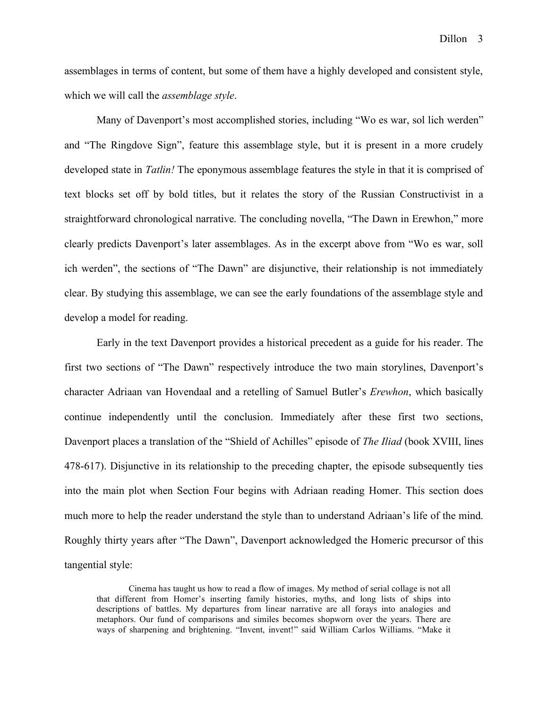assemblages in terms of content, but some of them have a highly developed and consistent style, which we will call the *assemblage style*.

Many of Davenport's most accomplished stories, including "Wo es war, sol lich werden" and "The Ringdove Sign", feature this assemblage style, but it is present in a more crudely developed state in *Tatlin!* The eponymous assemblage features the style in that it is comprised of text blocks set off by bold titles, but it relates the story of the Russian Constructivist in a straightforward chronological narrative. The concluding novella, "The Dawn in Erewhon," more clearly predicts Davenport's later assemblages. As in the excerpt above from "Wo es war, soll ich werden", the sections of "The Dawn" are disjunctive, their relationship is not immediately clear. By studying this assemblage, we can see the early foundations of the assemblage style and develop a model for reading.

Early in the text Davenport provides a historical precedent as a guide for his reader. The first two sections of "The Dawn" respectively introduce the two main storylines, Davenport's character Adriaan van Hovendaal and a retelling of Samuel Butler's *Erewhon*, which basically continue independently until the conclusion. Immediately after these first two sections, Davenport places a translation of the "Shield of Achilles" episode of *The Iliad* (book XVIII, lines 478-617). Disjunctive in its relationship to the preceding chapter, the episode subsequently ties into the main plot when Section Four begins with Adriaan reading Homer. This section does much more to help the reader understand the style than to understand Adriaan's life of the mind. Roughly thirty years after "The Dawn", Davenport acknowledged the Homeric precursor of this tangential style:

Cinema has taught us how to read a flow of images. My method of serial collage is not all that different from Homer's inserting family histories, myths, and long lists of ships into descriptions of battles. My departures from linear narrative are all forays into analogies and metaphors. Our fund of comparisons and similes becomes shopworn over the years. There are ways of sharpening and brightening. "Invent, invent!" said William Carlos Williams. "Make it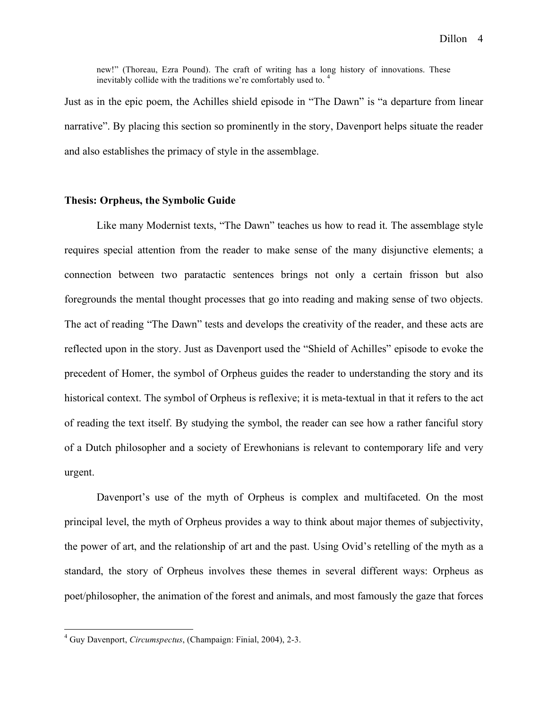new!" (Thoreau, Ezra Pound). The craft of writing has a long history of innovations. These inevitably collide with the traditions we're comfortably used to. <sup>4</sup>

Just as in the epic poem, the Achilles shield episode in "The Dawn" is "a departure from linear narrative". By placing this section so prominently in the story, Davenport helps situate the reader and also establishes the primacy of style in the assemblage.

### **Thesis: Orpheus, the Symbolic Guide**

Like many Modernist texts, "The Dawn" teaches us how to read it. The assemblage style requires special attention from the reader to make sense of the many disjunctive elements; a connection between two paratactic sentences brings not only a certain frisson but also foregrounds the mental thought processes that go into reading and making sense of two objects. The act of reading "The Dawn" tests and develops the creativity of the reader, and these acts are reflected upon in the story. Just as Davenport used the "Shield of Achilles" episode to evoke the precedent of Homer, the symbol of Orpheus guides the reader to understanding the story and its historical context. The symbol of Orpheus is reflexive; it is meta-textual in that it refers to the act of reading the text itself. By studying the symbol, the reader can see how a rather fanciful story of a Dutch philosopher and a society of Erewhonians is relevant to contemporary life and very urgent.

Davenport's use of the myth of Orpheus is complex and multifaceted. On the most principal level, the myth of Orpheus provides a way to think about major themes of subjectivity, the power of art, and the relationship of art and the past. Using Ovid's retelling of the myth as a standard, the story of Orpheus involves these themes in several different ways: Orpheus as poet/philosopher, the animation of the forest and animals, and most famously the gaze that forces

 <sup>4</sup> Guy Davenport, *Circumspectus*, (Champaign: Finial, 2004), 2-3.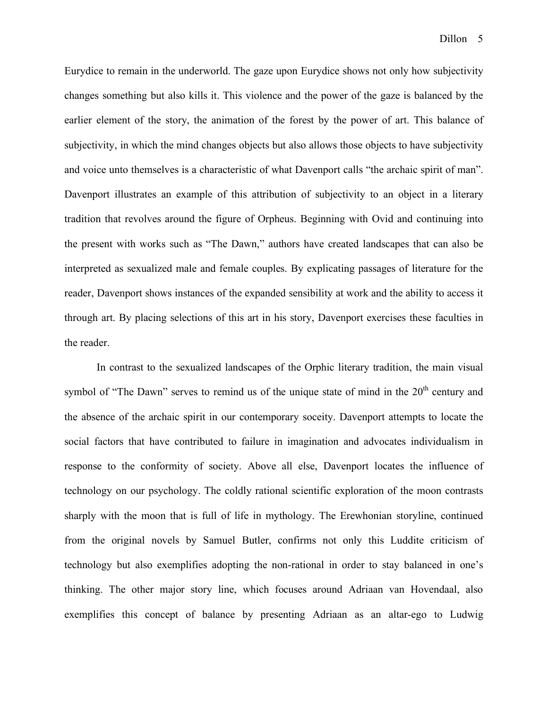Eurydice to remain in the underworld. The gaze upon Eurydice shows not only how subjectivity changes something but also kills it. This violence and the power of the gaze is balanced by the earlier element of the story, the animation of the forest by the power of art. This balance of subjectivity, in which the mind changes objects but also allows those objects to have subjectivity and voice unto themselves is a characteristic of what Davenport calls "the archaic spirit of man". Davenport illustrates an example of this attribution of subjectivity to an object in a literary tradition that revolves around the figure of Orpheus. Beginning with Ovid and continuing into the present with works such as "The Dawn," authors have created landscapes that can also be interpreted as sexualized male and female couples. By explicating passages of literature for the reader, Davenport shows instances of the expanded sensibility at work and the ability to access it through art. By placing selections of this art in his story, Davenport exercises these faculties in the reader.

In contrast to the sexualized landscapes of the Orphic literary tradition, the main visual symbol of "The Dawn" serves to remind us of the unique state of mind in the  $20<sup>th</sup>$  century and the absence of the archaic spirit in our contemporary soceity. Davenport attempts to locate the social factors that have contributed to failure in imagination and advocates individualism in response to the conformity of society. Above all else, Davenport locates the influence of technology on our psychology. The coldly rational scientific exploration of the moon contrasts sharply with the moon that is full of life in mythology. The Erewhonian storyline, continued from the original novels by Samuel Butler, confirms not only this Luddite criticism of technology but also exemplifies adopting the non-rational in order to stay balanced in one's thinking. The other major story line, which focuses around Adriaan van Hovendaal, also exemplifies this concept of balance by presenting Adriaan as an altar-ego to Ludwig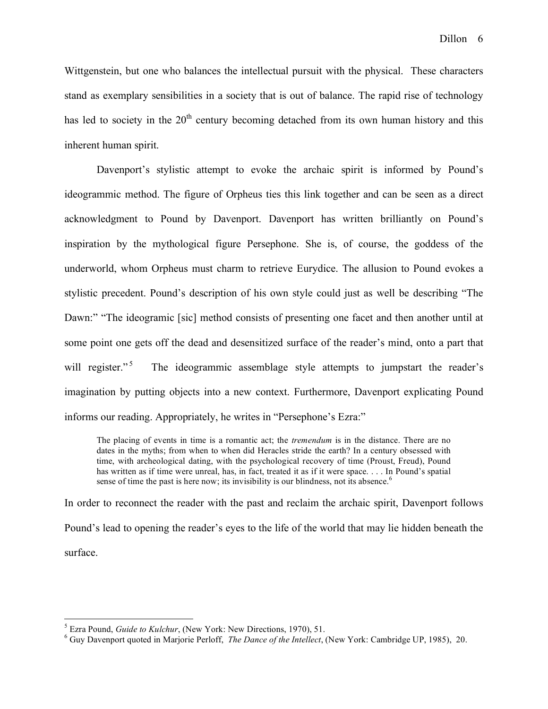Wittgenstein, but one who balances the intellectual pursuit with the physical. These characters stand as exemplary sensibilities in a society that is out of balance. The rapid rise of technology has led to society in the  $20<sup>th</sup>$  century becoming detached from its own human history and this inherent human spirit.

Davenport's stylistic attempt to evoke the archaic spirit is informed by Pound's ideogrammic method. The figure of Orpheus ties this link together and can be seen as a direct acknowledgment to Pound by Davenport. Davenport has written brilliantly on Pound's inspiration by the mythological figure Persephone. She is, of course, the goddess of the underworld, whom Orpheus must charm to retrieve Eurydice. The allusion to Pound evokes a stylistic precedent. Pound's description of his own style could just as well be describing "The Dawn:" "The ideogramic [sic] method consists of presenting one facet and then another until at some point one gets off the dead and desensitized surface of the reader's mind, onto a part that will register."<sup>5</sup> The ideogrammic assemblage style attempts to jumpstart the reader's imagination by putting objects into a new context. Furthermore, Davenport explicating Pound informs our reading. Appropriately, he writes in "Persephone's Ezra:"

The placing of events in time is a romantic act; the *tremendum* is in the distance. There are no dates in the myths; from when to when did Heracles stride the earth? In a century obsessed with time, with archeological dating, with the psychological recovery of time (Proust, Freud), Pound has written as if time were unreal, has, in fact, treated it as if it were space. . . . In Pound's spatial sense of time the past is here now; its invisibility is our blindness, not its absence.<sup>6</sup>

In order to reconnect the reader with the past and reclaim the archaic spirit, Davenport follows Pound's lead to opening the reader's eyes to the life of the world that may lie hidden beneath the surface.

<sup>&</sup>lt;sup>5</sup> Ezra Pound, *Guide to Kulchur*, (New York: New Directions, 1970), 51.<br><sup>6</sup> Guy Davenport quoted in Marjorie Perloff, *The Dance of the Intellect*, (New York: Cambridge UP, 1985), 20.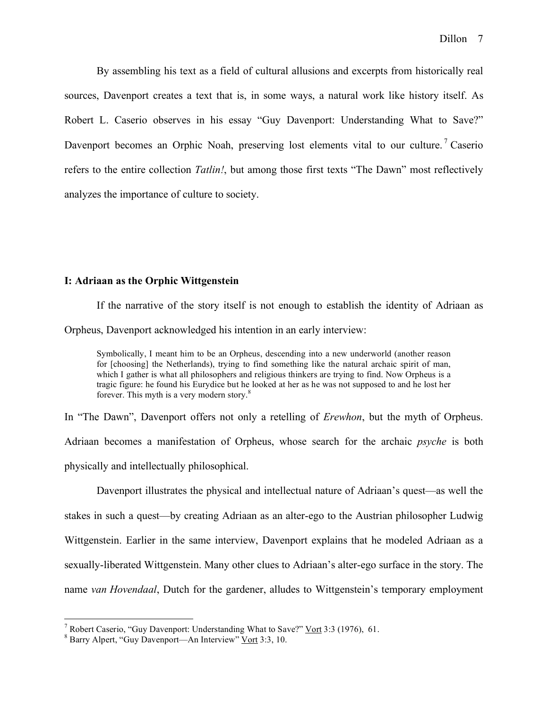By assembling his text as a field of cultural allusions and excerpts from historically real sources, Davenport creates a text that is, in some ways, a natural work like history itself. As Robert L. Caserio observes in his essay "Guy Davenport: Understanding What to Save?" Davenport becomes an Orphic Noah, preserving lost elements vital to our culture.<sup>7</sup> Caserio refers to the entire collection *Tatlin!*, but among those first texts "The Dawn" most reflectively analyzes the importance of culture to society.

### **I: Adriaan as the Orphic Wittgenstein**

If the narrative of the story itself is not enough to establish the identity of Adriaan as Orpheus, Davenport acknowledged his intention in an early interview:

Symbolically, I meant him to be an Orpheus, descending into a new underworld (another reason for [choosing] the Netherlands), trying to find something like the natural archaic spirit of man, which I gather is what all philosophers and religious thinkers are trying to find. Now Orpheus is a tragic figure: he found his Eurydice but he looked at her as he was not supposed to and he lost her forever. This myth is a very modern story.<sup>8</sup>

In "The Dawn", Davenport offers not only a retelling of *Erewhon*, but the myth of Orpheus. Adriaan becomes a manifestation of Orpheus, whose search for the archaic *psyche* is both physically and intellectually philosophical.

Davenport illustrates the physical and intellectual nature of Adriaan's quest—as well the stakes in such a quest—by creating Adriaan as an alter-ego to the Austrian philosopher Ludwig Wittgenstein. Earlier in the same interview, Davenport explains that he modeled Adriaan as a sexually-liberated Wittgenstein. Many other clues to Adriaan's alter-ego surface in the story. The name *van Hovendaal*, Dutch for the gardener, alludes to Wittgenstein's temporary employment

<sup>&</sup>lt;sup>7</sup> Robert Caserio, "Guy Davenport: Understanding What to Save?" <u>Vort</u> 3:3 (1976), 61. <sup>8</sup> Barry Alpert, "Guy Davenport—An Interview" Vort 3:3, 10.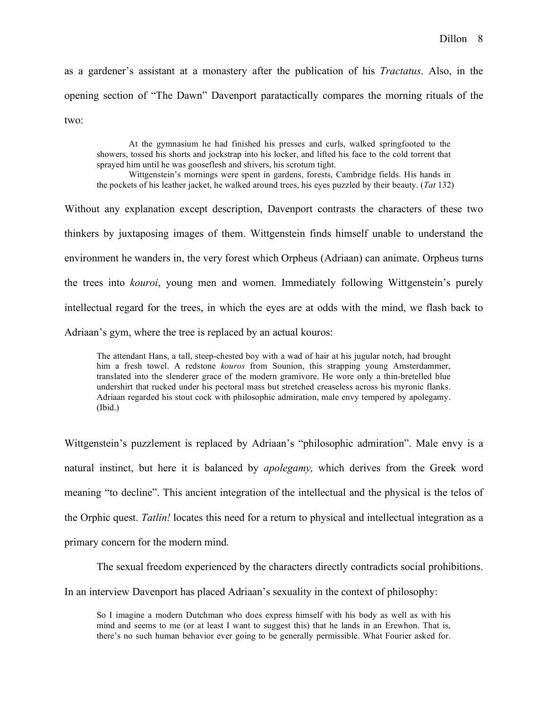as a gardener's assistant at a monastery after the publication of his *Tractatus*. Also, in the opening section of "The Dawn" Davenport paratactically compares the morning rituals of the two:

At the gymnasium he had finished his presses and curls, walked springfooted to the showers, tossed his shorts and jockstrap into his locker, and lifted his face to the cold torrent that sprayed him until he was gooseflesh and shivers, his scrotum tight. Wittgenstein's mornings were spent in gardens, forests, Cambridge fields. His hands in the pockets of his leather jacket, he walked around trees, his eyes puzzled by their beauty. (*Tat* 132)

Without any explanation except description, Davenport contrasts the characters of these two thinkers by juxtaposing images of them. Wittgenstein finds himself unable to understand the environment he wanders in, the very forest which Orpheus (Adriaan) can animate. Orpheus turns the trees into *kouroi*, young men and women. Immediately following Wittgenstein's purely intellectual regard for the trees, in which the eyes are at odds with the mind, we flash back to Adriaan's gym, where the tree is replaced by an actual kouros:

The attendant Hans, a tall, steep-chested boy with a wad of hair at his jugular notch, had brought him a fresh towel. A redstone *kouros* from Sounion, this strapping young Amsterdammer, translated into the slenderer grace of the modern gramivore. He wore only a thin-bretelled blue undershirt that rucked under his pectoral mass but stretched creaseless across his myronic flanks. Adriaan regarded his stout cock with philosophic admiration, male envy tempered by apolegamy. (Ibid.)

Wittgenstein's puzzlement is replaced by Adriaan's "philosophic admiration". Male envy is a natural instinct, but here it is balanced by *apolegamy,* which derives from the Greek word meaning "to decline". This ancient integration of the intellectual and the physical is the telos of the Orphic quest. *Tatlin!* locates this need for a return to physical and intellectual integration as a primary concern for the modern mind.

The sexual freedom experienced by the characters directly contradicts social prohibitions. In an interview Davenport has placed Adriaan's sexuality in the context of philosophy:

So I imagine a modern Dutchman who does express himself with his body as well as with his mind and seems to me (or at least I want to suggest this) that he lands in an Erewhon. That is, there's no such human behavior ever going to be generally permissible. What Fourier asked for.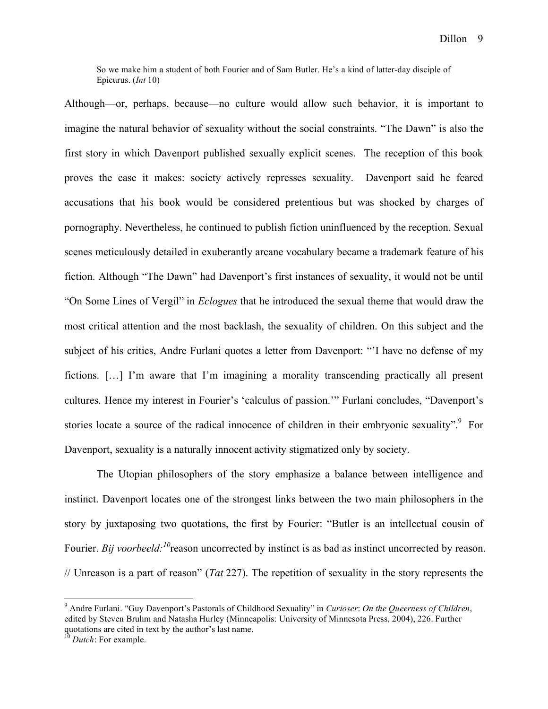So we make him a student of both Fourier and of Sam Butler. He's a kind of latter-day disciple of Epicurus. (*Int* 10)

Although—or, perhaps, because—no culture would allow such behavior, it is important to imagine the natural behavior of sexuality without the social constraints. "The Dawn" is also the first story in which Davenport published sexually explicit scenes. The reception of this book proves the case it makes: society actively represses sexuality. Davenport said he feared accusations that his book would be considered pretentious but was shocked by charges of pornography. Nevertheless, he continued to publish fiction uninfluenced by the reception. Sexual scenes meticulously detailed in exuberantly arcane vocabulary became a trademark feature of his fiction. Although "The Dawn" had Davenport's first instances of sexuality, it would not be until "On Some Lines of Vergil" in *Eclogues* that he introduced the sexual theme that would draw the most critical attention and the most backlash, the sexuality of children. On this subject and the subject of his critics, Andre Furlani quotes a letter from Davenport: "'I have no defense of my fictions. […] I'm aware that I'm imagining a morality transcending practically all present cultures. Hence my interest in Fourier's 'calculus of passion.'" Furlani concludes, "Davenport's stories locate a source of the radical innocence of children in their embryonic sexuality".<sup>9</sup> For Davenport, sexuality is a naturally innocent activity stigmatized only by society.

The Utopian philosophers of the story emphasize a balance between intelligence and instinct. Davenport locates one of the strongest links between the two main philosophers in the story by juxtaposing two quotations, the first by Fourier: "Butler is an intellectual cousin of Fourier. *Bij voorbeeld:*<sup>10</sup> reason uncorrected by instinct is as bad as instinct uncorrected by reason. // Unreason is a part of reason" (*Tat* 227). The repetition of sexuality in the story represents the

 <sup>9</sup> Andre Furlani. "Guy Davenport's Pastorals of Childhood Sexuality" in *Curioser*: *On the Queerness of Children*, edited by Steven Bruhm and Natasha Hurley (Minneapolis: University of Minnesota Press, 2004), 226. Further quotations are cited in text by the author's last name. <sup>10</sup> *Dutch*: For example.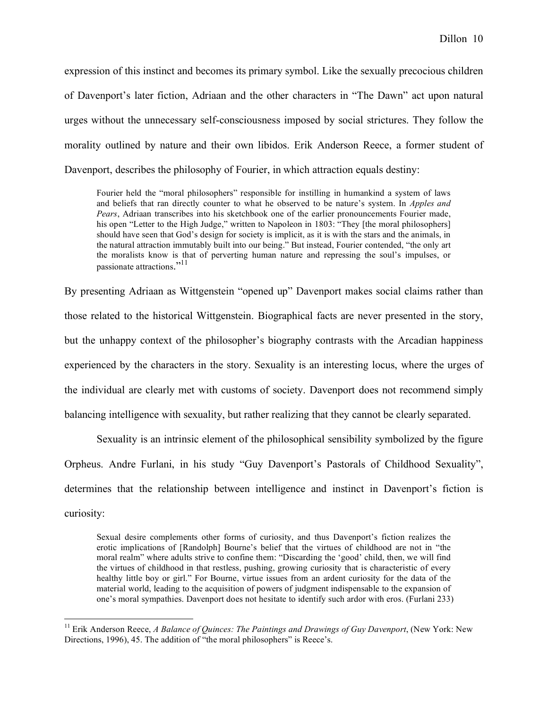expression of this instinct and becomes its primary symbol. Like the sexually precocious children of Davenport's later fiction, Adriaan and the other characters in "The Dawn" act upon natural urges without the unnecessary self-consciousness imposed by social strictures. They follow the morality outlined by nature and their own libidos. Erik Anderson Reece, a former student of Davenport, describes the philosophy of Fourier, in which attraction equals destiny:

Fourier held the "moral philosophers" responsible for instilling in humankind a system of laws and beliefs that ran directly counter to what he observed to be nature's system. In *Apples and Pears*, Adriaan transcribes into his sketchbook one of the earlier pronouncements Fourier made, his open "Letter to the High Judge," written to Napoleon in 1803: "They [the moral philosophers] should have seen that God's design for society is implicit, as it is with the stars and the animals, in the natural attraction immutably built into our being." But instead, Fourier contended, "the only art the moralists know is that of perverting human nature and repressing the soul's impulses, or passionate attractions."<sup>11</sup>

By presenting Adriaan as Wittgenstein "opened up" Davenport makes social claims rather than those related to the historical Wittgenstein. Biographical facts are never presented in the story, but the unhappy context of the philosopher's biography contrasts with the Arcadian happiness experienced by the characters in the story. Sexuality is an interesting locus, where the urges of the individual are clearly met with customs of society. Davenport does not recommend simply balancing intelligence with sexuality, but rather realizing that they cannot be clearly separated.

Sexuality is an intrinsic element of the philosophical sensibility symbolized by the figure Orpheus. Andre Furlani, in his study "Guy Davenport's Pastorals of Childhood Sexuality", determines that the relationship between intelligence and instinct in Davenport's fiction is curiosity:

Sexual desire complements other forms of curiosity, and thus Davenport's fiction realizes the erotic implications of [Randolph] Bourne's belief that the virtues of childhood are not in "the moral realm" where adults strive to confine them: "Discarding the 'good' child, then, we will find the virtues of childhood in that restless, pushing, growing curiosity that is characteristic of every healthy little boy or girl." For Bourne, virtue issues from an ardent curiosity for the data of the material world, leading to the acquisition of powers of judgment indispensable to the expansion of one's moral sympathies. Davenport does not hesitate to identify such ardor with eros. (Furlani 233)

 <sup>11</sup> Erik Anderson Reece, *<sup>A</sup> Balance of Quinces: The Paintings and Drawings of Guy Davenport*, (New York: New Directions, 1996), 45. The addition of "the moral philosophers" is Reece's.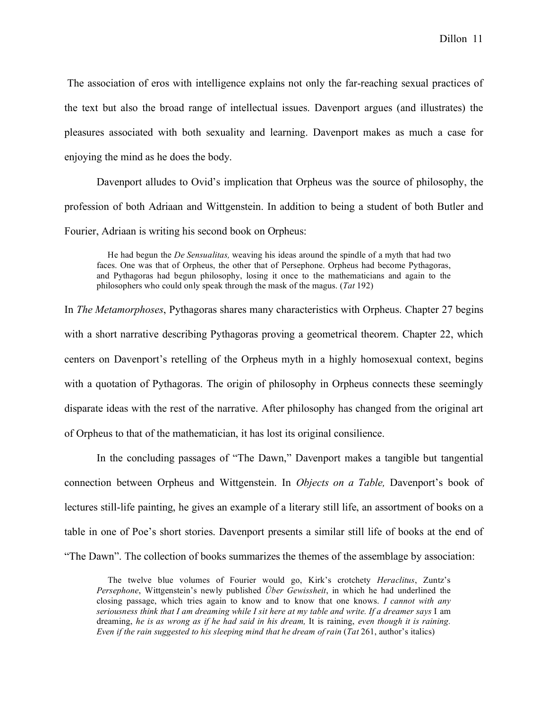The association of eros with intelligence explains not only the far-reaching sexual practices of the text but also the broad range of intellectual issues. Davenport argues (and illustrates) the pleasures associated with both sexuality and learning. Davenport makes as much a case for enjoying the mind as he does the body.

Davenport alludes to Ovid's implication that Orpheus was the source of philosophy, the profession of both Adriaan and Wittgenstein. In addition to being a student of both Butler and Fourier, Adriaan is writing his second book on Orpheus:

He had begun the *De Sensualitas,* weaving his ideas around the spindle of a myth that had two faces. One was that of Orpheus, the other that of Persephone. Orpheus had become Pythagoras, and Pythagoras had begun philosophy, losing it once to the mathematicians and again to the philosophers who could only speak through the mask of the magus. (*Tat* 192)

In *The Metamorphoses*, Pythagoras shares many characteristics with Orpheus. Chapter 27 begins with a short narrative describing Pythagoras proving a geometrical theorem. Chapter 22, which centers on Davenport's retelling of the Orpheus myth in a highly homosexual context, begins with a quotation of Pythagoras. The origin of philosophy in Orpheus connects these seemingly disparate ideas with the rest of the narrative. After philosophy has changed from the original art of Orpheus to that of the mathematician, it has lost its original consilience.

In the concluding passages of "The Dawn," Davenport makes a tangible but tangential connection between Orpheus and Wittgenstein. In *Objects on a Table,* Davenport's book of lectures still-life painting, he gives an example of a literary still life, an assortment of books on a table in one of Poe's short stories. Davenport presents a similar still life of books at the end of "The Dawn". The collection of books summarizes the themes of the assemblage by association:

The twelve blue volumes of Fourier would go, Kirk's crotchety *Heraclitus*, Zuntz's *Persephone*, Wittgenstein's newly published *Über Gewissheit*, in which he had underlined the closing passage, which tries again to know and to know that one knows. *I cannot with any* seriousness think that I am dreaming while I sit here at my table and write. If a dreamer says I am dreaming, *he is as wrong as if he had said in his dream,* It is raining, *even though it is raining. Even if the rain suggested to his sleeping mind that he dream of rain* (*Tat* 261, author's italics)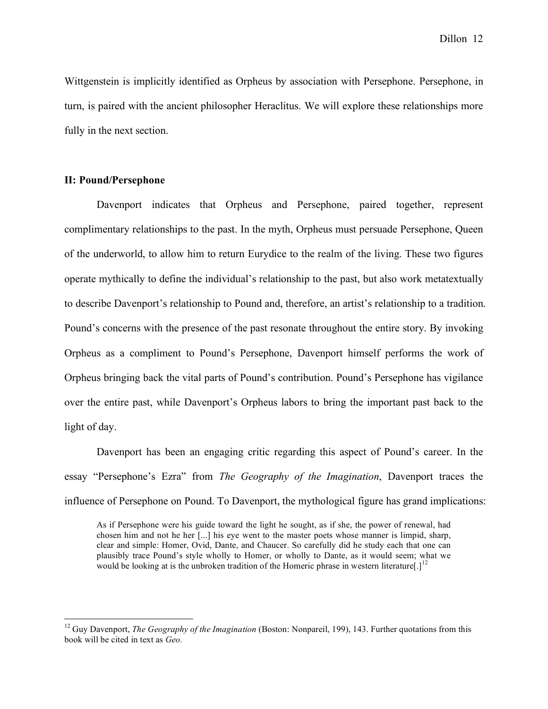Dillon 12

Wittgenstein is implicitly identified as Orpheus by association with Persephone. Persephone, in turn, is paired with the ancient philosopher Heraclitus. We will explore these relationships more fully in the next section.

### **II: Pound/Persephone**

Davenport indicates that Orpheus and Persephone, paired together, represent complimentary relationships to the past. In the myth, Orpheus must persuade Persephone, Queen of the underworld, to allow him to return Eurydice to the realm of the living. These two figures operate mythically to define the individual's relationship to the past, but also work metatextually to describe Davenport's relationship to Pound and, therefore, an artist's relationship to a tradition. Pound's concerns with the presence of the past resonate throughout the entire story. By invoking Orpheus as a compliment to Pound's Persephone, Davenport himself performs the work of Orpheus bringing back the vital parts of Pound's contribution. Pound's Persephone has vigilance over the entire past, while Davenport's Orpheus labors to bring the important past back to the light of day.

Davenport has been an engaging critic regarding this aspect of Pound's career. In the essay "Persephone's Ezra" from *The Geography of the Imagination*, Davenport traces the influence of Persephone on Pound. To Davenport, the mythological figure has grand implications:

As if Persephone were his guide toward the light he sought, as if she, the power of renewal, had chosen him and not he her [...] his eye went to the master poets whose manner is limpid, sharp, clear and simple: Homer, Ovid, Dante, and Chaucer. So carefully did he study each that one can plausibly trace Pound's style wholly to Homer, or wholly to Dante, as it would seem; what we would be looking at is the unbroken tradition of the Homeric phrase in western literature[.]<sup>12</sup>

 <sup>12</sup> Guy Davenport, *The Geography of the Imagination* (Boston: Nonpareil, 199), 143. Further quotations from this book will be cited in text as *Geo.*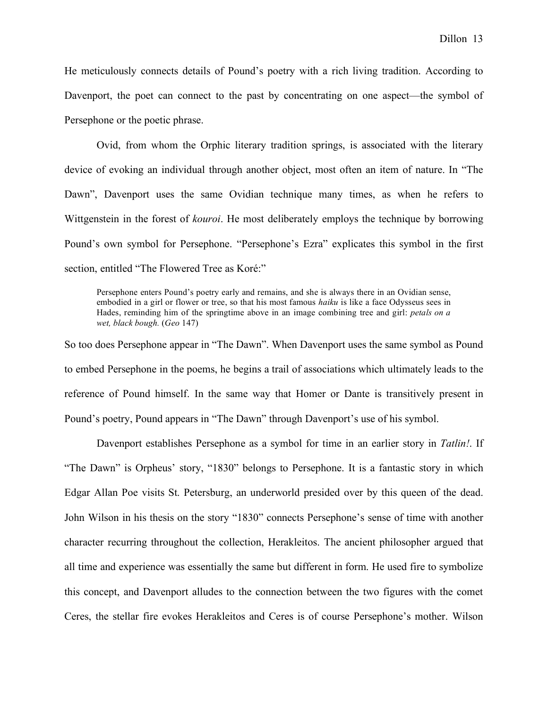He meticulously connects details of Pound's poetry with a rich living tradition. According to Davenport, the poet can connect to the past by concentrating on one aspect—the symbol of Persephone or the poetic phrase.

Ovid, from whom the Orphic literary tradition springs, is associated with the literary device of evoking an individual through another object, most often an item of nature. In "The Dawn", Davenport uses the same Ovidian technique many times, as when he refers to Wittgenstein in the forest of *kouroi*. He most deliberately employs the technique by borrowing Pound's own symbol for Persephone. "Persephone's Ezra" explicates this symbol in the first section, entitled "The Flowered Tree as Koré:"

Persephone enters Pound's poetry early and remains, and she is always there in an Ovidian sense, embodied in a girl or flower or tree, so that his most famous *haiku* is like a face Odysseus sees in Hades, reminding him of the springtime above in an image combining tree and girl: *petals on a wet, black bough.* (*Geo* 147)

So too does Persephone appear in "The Dawn". When Davenport uses the same symbol as Pound to embed Persephone in the poems, he begins a trail of associations which ultimately leads to the reference of Pound himself. In the same way that Homer or Dante is transitively present in Pound's poetry, Pound appears in "The Dawn" through Davenport's use of his symbol.

Davenport establishes Persephone as a symbol for time in an earlier story in *Tatlin!*. If "The Dawn" is Orpheus' story, "1830" belongs to Persephone. It is a fantastic story in which Edgar Allan Poe visits St. Petersburg, an underworld presided over by this queen of the dead. John Wilson in his thesis on the story "1830" connects Persephone's sense of time with another character recurring throughout the collection, Herakleitos. The ancient philosopher argued that all time and experience was essentially the same but different in form. He used fire to symbolize this concept, and Davenport alludes to the connection between the two figures with the comet Ceres, the stellar fire evokes Herakleitos and Ceres is of course Persephone's mother. Wilson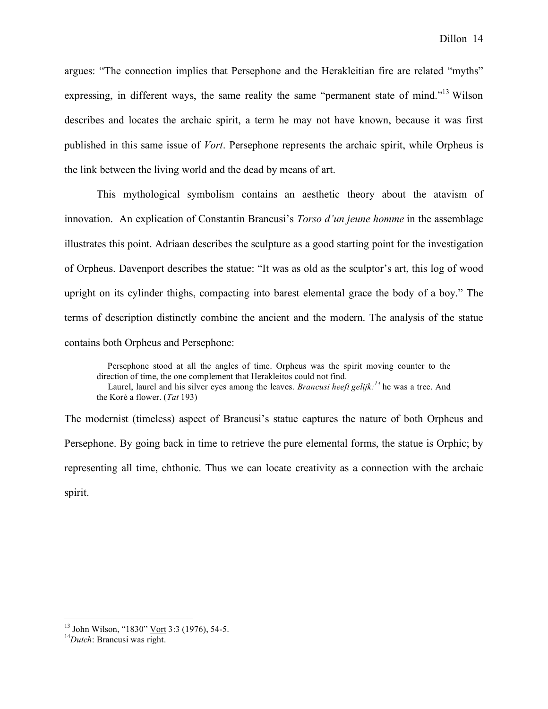argues: "The connection implies that Persephone and the Herakleitian fire are related "myths" expressing, in different ways, the same reality the same "permanent state of mind."<sup>13</sup> Wilson describes and locates the archaic spirit, a term he may not have known, because it was first published in this same issue of *Vort*. Persephone represents the archaic spirit, while Orpheus is the link between the living world and the dead by means of art.

This mythological symbolism contains an aesthetic theory about the atavism of innovation. An explication of Constantin Brancusi's *Torso d'un jeune homme* in the assemblage illustrates this point. Adriaan describes the sculpture as a good starting point for the investigation of Orpheus. Davenport describes the statue: "It was as old as the sculptor's art, this log of wood upright on its cylinder thighs, compacting into barest elemental grace the body of a boy." The terms of description distinctly combine the ancient and the modern. The analysis of the statue contains both Orpheus and Persephone:

Persephone stood at all the angles of time. Orpheus was the spirit moving counter to the direction of time, the one complement that Herakleitos could not find. Laurel, laurel and his silver eyes among the leaves. *Brancusi heeft gelijk: <sup>14</sup>* he was a tree. And the Koré a flower. (*Tat* 193)

The modernist (timeless) aspect of Brancusi's statue captures the nature of both Orpheus and Persephone. By going back in time to retrieve the pure elemental forms, the statue is Orphic; by representing all time, chthonic. Thus we can locate creativity as a connection with the archaic spirit.

<sup>&</sup>lt;sup>13</sup> John Wilson, "1830" Vort 3:3 (1976), 54-5.

*Dutch*: Brancusi was right.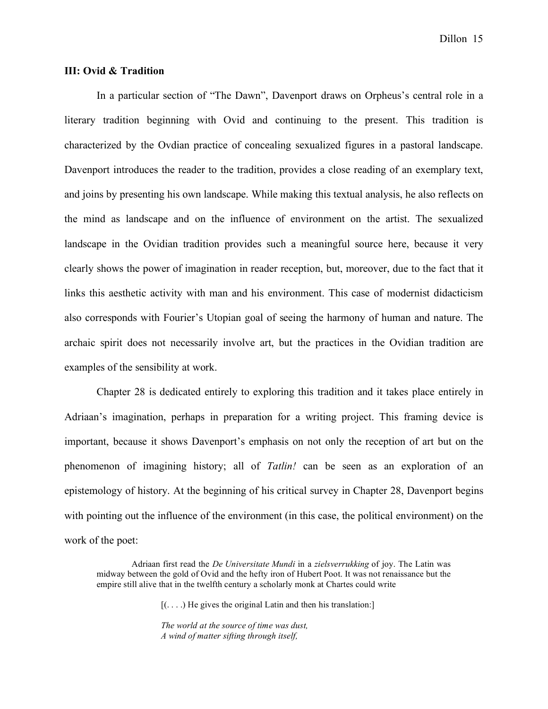Dillon 15

### **III: Ovid & Tradition**

In a particular section of "The Dawn", Davenport draws on Orpheus's central role in a literary tradition beginning with Ovid and continuing to the present. This tradition is characterized by the Ovdian practice of concealing sexualized figures in a pastoral landscape. Davenport introduces the reader to the tradition, provides a close reading of an exemplary text, and joins by presenting his own landscape. While making this textual analysis, he also reflects on the mind as landscape and on the influence of environment on the artist. The sexualized landscape in the Ovidian tradition provides such a meaningful source here, because it very clearly shows the power of imagination in reader reception, but, moreover, due to the fact that it links this aesthetic activity with man and his environment. This case of modernist didacticism also corresponds with Fourier's Utopian goal of seeing the harmony of human and nature. The archaic spirit does not necessarily involve art, but the practices in the Ovidian tradition are examples of the sensibility at work.

Chapter 28 is dedicated entirely to exploring this tradition and it takes place entirely in Adriaan's imagination, perhaps in preparation for a writing project. This framing device is important, because it shows Davenport's emphasis on not only the reception of art but on the phenomenon of imagining history; all of *Tatlin!* can be seen as an exploration of an epistemology of history. At the beginning of his critical survey in Chapter 28, Davenport begins with pointing out the influence of the environment (in this case, the political environment) on the work of the poet:

Adriaan first read the *De Universitate Mundi* in a *zielsverrukking* of joy. The Latin was midway between the gold of Ovid and the hefty iron of Hubert Poot. It was not renaissance but the empire still alive that in the twelfth century a scholarly monk at Chartes could write

 $[$ (...) He gives the original Latin and then his translation:

*The world at the source of time was dust, A wind of matter sifting through itself,*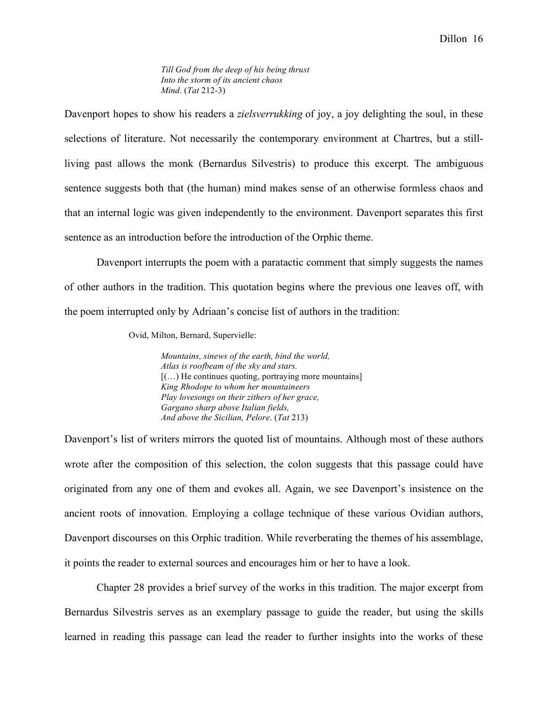*Till God from the deep of his being thrust Into the storm of its ancient chaos Mind*. (*Tat* 212-3)

Davenport hopes to show his readers a *zielsverrukking* of joy, a joy delighting the soul, in these selections of literature. Not necessarily the contemporary environment at Chartres, but a stillliving past allows the monk (Bernardus Silvestris) to produce this excerpt. The ambiguous sentence suggests both that (the human) mind makes sense of an otherwise formless chaos and that an internal logic was given independently to the environment. Davenport separates this first sentence as an introduction before the introduction of the Orphic theme.

Davenport interrupts the poem with a paratactic comment that simply suggests the names of other authors in the tradition. This quotation begins where the previous one leaves off, with the poem interrupted only by Adriaan's concise list of authors in the tradition:

Ovid, Milton, Bernard, Supervielle:

*Mountains, sinews of the earth, bind the world, Atlas is roofbeam of the sky and stars.*  $[$ (...) He continues quoting, portraying more mountains] *King Rhodope to whom her mountaineers Play lovesongs on their zithers of her grace, Gargano sharp above Italian fields, And above the Sicilian, Pelore*. (*Tat* 213)

Davenport's list of writers mirrors the quoted list of mountains. Although most of these authors wrote after the composition of this selection, the colon suggests that this passage could have originated from any one of them and evokes all. Again, we see Davenport's insistence on the ancient roots of innovation. Employing a collage technique of these various Ovidian authors, Davenport discourses on this Orphic tradition. While reverberating the themes of his assemblage, it points the reader to external sources and encourages him or her to have a look.

Chapter 28 provides a brief survey of the works in this tradition. The major excerpt from Bernardus Silvestris serves as an exemplary passage to guide the reader, but using the skills learned in reading this passage can lead the reader to further insights into the works of these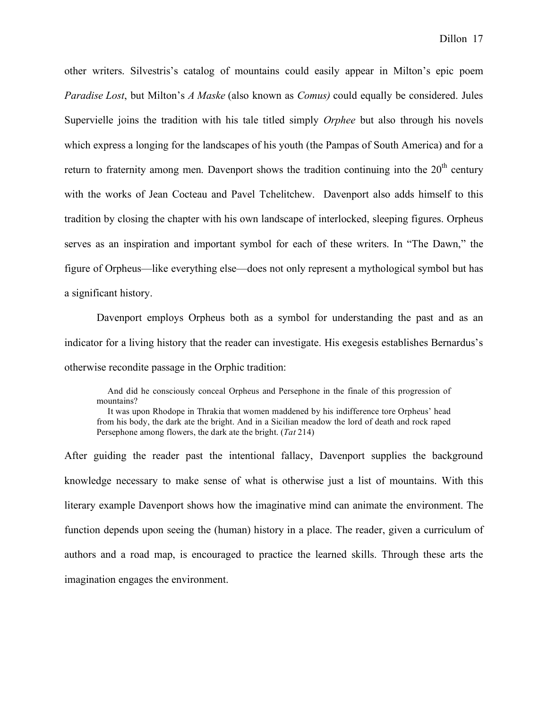other writers. Silvestris's catalog of mountains could easily appear in Milton's epic poem *Paradise Lost*, but Milton's *A Maske* (also known as *Comus)* could equally be considered. Jules Supervielle joins the tradition with his tale titled simply *Orphee* but also through his novels which express a longing for the landscapes of his youth (the Pampas of South America) and for a return to fraternity among men. Davenport shows the tradition continuing into the  $20<sup>th</sup>$  century with the works of Jean Cocteau and Pavel Tchelitchew. Davenport also adds himself to this tradition by closing the chapter with his own landscape of interlocked, sleeping figures. Orpheus serves as an inspiration and important symbol for each of these writers. In "The Dawn," the figure of Orpheus—like everything else—does not only represent a mythological symbol but has a significant history.

Davenport employs Orpheus both as a symbol for understanding the past and as an indicator for a living history that the reader can investigate. His exegesis establishes Bernardus's otherwise recondite passage in the Orphic tradition:

And did he consciously conceal Orpheus and Persephone in the finale of this progression of mountains?

It was upon Rhodope in Thrakia that women maddened by his indifference tore Orpheus' head from his body, the dark ate the bright. And in a Sicilian meadow the lord of death and rock raped Persephone among flowers, the dark ate the bright. (*Tat* 214)

After guiding the reader past the intentional fallacy, Davenport supplies the background knowledge necessary to make sense of what is otherwise just a list of mountains. With this literary example Davenport shows how the imaginative mind can animate the environment. The function depends upon seeing the (human) history in a place. The reader, given a curriculum of authors and a road map, is encouraged to practice the learned skills. Through these arts the imagination engages the environment.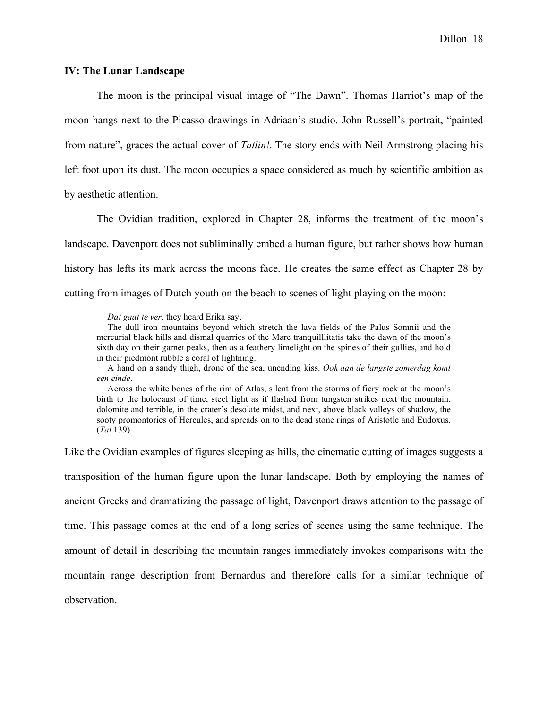### **IV: The Lunar Landscape**

The moon is the principal visual image of "The Dawn". Thomas Harriot's map of the moon hangs next to the Picasso drawings in Adriaan's studio. John Russell's portrait, "painted from nature", graces the actual cover of *Tatlin!*. The story ends with Neil Armstrong placing his left foot upon its dust. The moon occupies a space considered as much by scientific ambition as by aesthetic attention.

The Ovidian tradition, explored in Chapter 28, informs the treatment of the moon's landscape. Davenport does not subliminally embed a human figure, but rather shows how human history has lefts its mark across the moons face. He creates the same effect as Chapter 28 by cutting from images of Dutch youth on the beach to scenes of light playing on the moon:

*Dat gaat te ver,* they heard Erika say.

The dull iron mountains beyond which stretch the lava fields of the Palus Somnii and the mercurial black hills and dismal quarries of the Mare tranquilllitatis take the dawn of the moon's sixth day on their garnet peaks, then as a feathery limelight on the spines of their gullies, and hold in their piedmont rubble a coral of lightning.

A hand on a sandy thigh, drone of the sea, unending kiss. *Ook aan de langste zomerdag komt een einde*.

Across the white bones of the rim of Atlas, silent from the storms of fiery rock at the moon's birth to the holocaust of time, steel light as if flashed from tungsten strikes next the mountain, dolomite and terrible, in the crater's desolate midst, and next, above black valleys of shadow, the sooty promontories of Hercules, and spreads on to the dead stone rings of Aristotle and Eudoxus. (*Tat* 139)

Like the Ovidian examples of figures sleeping as hills, the cinematic cutting of images suggests a transposition of the human figure upon the lunar landscape. Both by employing the names of ancient Greeks and dramatizing the passage of light, Davenport draws attention to the passage of time. This passage comes at the end of a long series of scenes using the same technique. The amount of detail in describing the mountain ranges immediately invokes comparisons with the mountain range description from Bernardus and therefore calls for a similar technique of observation.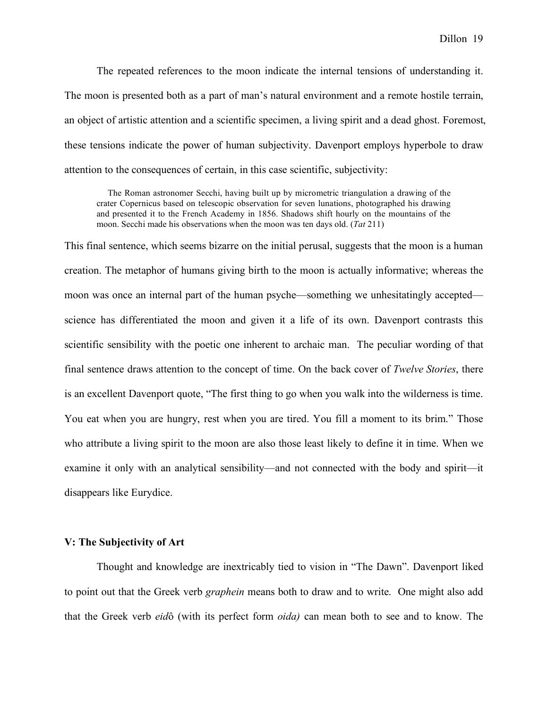The repeated references to the moon indicate the internal tensions of understanding it. The moon is presented both as a part of man's natural environment and a remote hostile terrain, an object of artistic attention and a scientific specimen, a living spirit and a dead ghost. Foremost, these tensions indicate the power of human subjectivity. Davenport employs hyperbole to draw attention to the consequences of certain, in this case scientific, subjectivity:

The Roman astronomer Secchi, having built up by micrometric triangulation a drawing of the crater Copernicus based on telescopic observation for seven lunations, photographed his drawing and presented it to the French Academy in 1856. Shadows shift hourly on the mountains of the moon. Secchi made his observations when the moon was ten days old. (*Tat* 211)

This final sentence, which seems bizarre on the initial perusal, suggests that the moon is a human creation. The metaphor of humans giving birth to the moon is actually informative; whereas the moon was once an internal part of the human psyche—something we unhesitatingly accepted science has differentiated the moon and given it a life of its own. Davenport contrasts this scientific sensibility with the poetic one inherent to archaic man. The peculiar wording of that final sentence draws attention to the concept of time. On the back cover of *Twelve Stories*, there is an excellent Davenport quote, "The first thing to go when you walk into the wilderness is time. You eat when you are hungry, rest when you are tired. You fill a moment to its brim." Those who attribute a living spirit to the moon are also those least likely to define it in time. When we examine it only with an analytical sensibility—and not connected with the body and spirit—it disappears like Eurydice.

### **V: The Subjectivity of Art**

Thought and knowledge are inextricably tied to vision in "The Dawn". Davenport liked to point out that the Greek verb *graphein* means both to draw and to write. One might also add that the Greek verb *eid*ô (with its perfect form *oida)* can mean both to see and to know. The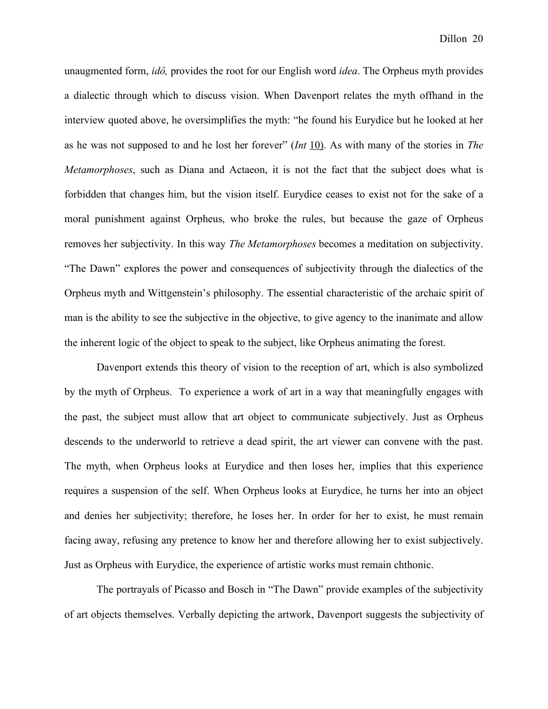unaugmented form, *idô,* provides the root for our English word *idea*. The Orpheus myth provides a dialectic through which to discuss vision. When Davenport relates the myth offhand in the interview quoted above, he oversimplifies the myth: "he found his Eurydice but he looked at her as he was not supposed to and he lost her forever" (*Int* 10). As with many of the stories in *The Metamorphoses*, such as Diana and Actaeon, it is not the fact that the subject does what is forbidden that changes him, but the vision itself. Eurydice ceases to exist not for the sake of a moral punishment against Orpheus, who broke the rules, but because the gaze of Orpheus removes her subjectivity. In this way *The Metamorphoses* becomes a meditation on subjectivity. "The Dawn" explores the power and consequences of subjectivity through the dialectics of the Orpheus myth and Wittgenstein's philosophy. The essential characteristic of the archaic spirit of man is the ability to see the subjective in the objective, to give agency to the inanimate and allow the inherent logic of the object to speak to the subject, like Orpheus animating the forest.

Davenport extends this theory of vision to the reception of art, which is also symbolized by the myth of Orpheus. To experience a work of art in a way that meaningfully engages with the past, the subject must allow that art object to communicate subjectively. Just as Orpheus descends to the underworld to retrieve a dead spirit, the art viewer can convene with the past. The myth, when Orpheus looks at Eurydice and then loses her, implies that this experience requires a suspension of the self. When Orpheus looks at Eurydice, he turns her into an object and denies her subjectivity; therefore, he loses her. In order for her to exist, he must remain facing away, refusing any pretence to know her and therefore allowing her to exist subjectively. Just as Orpheus with Eurydice, the experience of artistic works must remain chthonic.

The portrayals of Picasso and Bosch in "The Dawn" provide examples of the subjectivity of art objects themselves. Verbally depicting the artwork, Davenport suggests the subjectivity of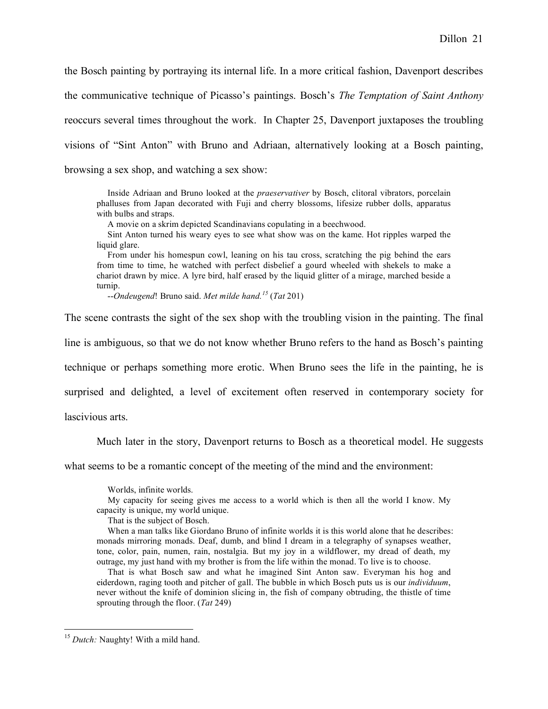the Bosch painting by portraying its internal life. In a more critical fashion, Davenport describes the communicative technique of Picasso's paintings. Bosch's *The Temptation of Saint Anthony* reoccurs several times throughout the work. In Chapter 25, Davenport juxtaposes the troubling visions of "Sint Anton" with Bruno and Adriaan, alternatively looking at a Bosch painting, browsing a sex shop, and watching a sex show:

Inside Adriaan and Bruno looked at the *praeservativer* by Bosch, clitoral vibrators, porcelain phalluses from Japan decorated with Fuji and cherry blossoms, lifesize rubber dolls, apparatus with bulbs and straps.

A movie on a skrim depicted Scandinavians copulating in a beechwood.

Sint Anton turned his weary eyes to see what show was on the kame. Hot ripples warped the liquid glare.

From under his homespun cowl, leaning on his tau cross, scratching the pig behind the ears from time to time, he watched with perfect disbelief a gourd wheeled with shekels to make a chariot drawn by mice. A lyre bird, half erased by the liquid glitter of a mirage, marched beside a turnip.

--*Ondeugend*! Bruno said. *Met milde hand. <sup>15</sup>* (*Tat* 201)

The scene contrasts the sight of the sex shop with the troubling vision in the painting. The final

line is ambiguous, so that we do not know whether Bruno refers to the hand as Bosch's painting

technique or perhaps something more erotic. When Bruno sees the life in the painting, he is

surprised and delighted, a level of excitement often reserved in contemporary society for

lascivious arts.

Much later in the story, Davenport returns to Bosch as a theoretical model. He suggests

what seems to be a romantic concept of the meeting of the mind and the environment:

Worlds, infinite worlds.

My capacity for seeing gives me access to a world which is then all the world I know. My capacity is unique, my world unique.

That is the subject of Bosch.

When a man talks like Giordano Bruno of infinite worlds it is this world alone that he describes: monads mirroring monads. Deaf, dumb, and blind I dream in a telegraphy of synapses weather, tone, color, pain, numen, rain, nostalgia. But my joy in a wildflower, my dread of death, my outrage, my just hand with my brother is from the life within the monad. To live is to choose.

That is what Bosch saw and what he imagined Sint Anton saw. Everyman his hog and eiderdown, raging tooth and pitcher of gall. The bubble in which Bosch puts us is our *individuum*, never without the knife of dominion slicing in, the fish of company obtruding, the thistle of time sprouting through the floor. (*Tat* 249)

<sup>&</sup>lt;sup>15</sup> Dutch: Naughty! With a mild hand.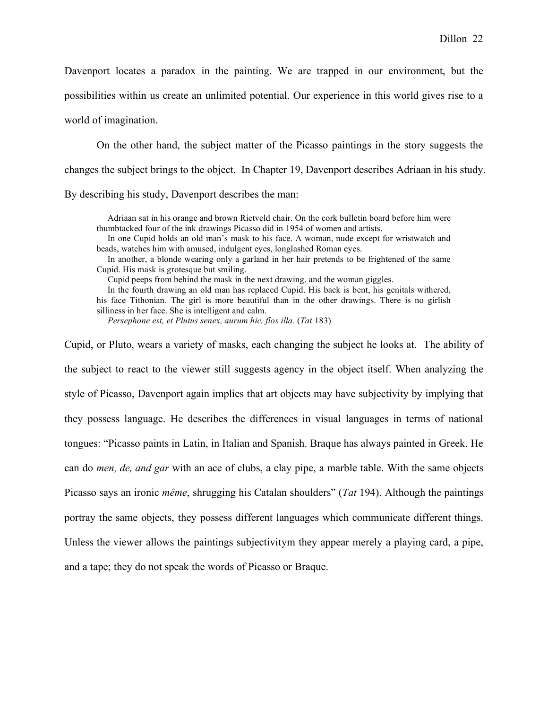On the other hand, the subject matter of the Picasso paintings in the story suggests the changes the subject brings to the object. In Chapter 19, Davenport describes Adriaan in his study. By describing his study, Davenport describes the man:

Adriaan sat in his orange and brown Rietveld chair. On the cork bulletin board before him were thumbtacked four of the ink drawings Picasso did in 1954 of women and artists.

In one Cupid holds an old man's mask to his face. A woman, nude except for wristwatch and beads, watches him with amused, indulgent eyes, longlashed Roman eyes.

In another, a blonde wearing only a garland in her hair pretends to be frightened of the same Cupid. His mask is grotesque but smiling.

Cupid peeps from behind the mask in the next drawing, and the woman giggles.

In the fourth drawing an old man has replaced Cupid. His back is bent, his genitals withered,

his face Tithonian. The girl is more beautiful than in the other drawings. There is no girlish silliness in her face. She is intelligent and calm.

*Persephone est, et Plutus senex, aurum hic, flos illa.* (*Tat* 183)

Cupid, or Pluto, wears a variety of masks, each changing the subject he looks at. The ability of the subject to react to the viewer still suggests agency in the object itself. When analyzing the style of Picasso, Davenport again implies that art objects may have subjectivity by implying that they possess language. He describes the differences in visual languages in terms of national tongues: "Picasso paints in Latin, in Italian and Spanish. Braque has always painted in Greek. He can do *men, de, and gar* with an ace of clubs, a clay pipe, a marble table. With the same objects Picasso says an ironic *même*, shrugging his Catalan shoulders" (*Tat* 194). Although the paintings portray the same objects, they possess different languages which communicate different things. Unless the viewer allows the paintings subjectivitym they appear merely a playing card, a pipe, and a tape; they do not speak the words of Picasso or Braque.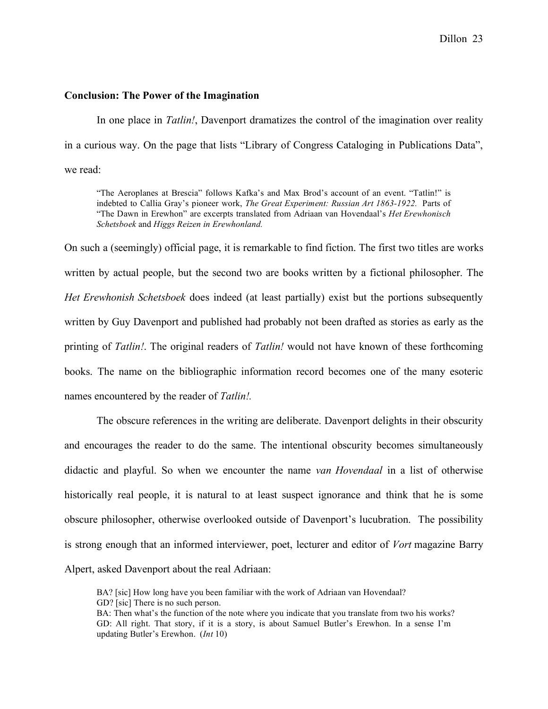### **Conclusion: The Power of the Imagination**

In one place in *Tatlin!*, Davenport dramatizes the control of the imagination over reality in a curious way. On the page that lists "Library of Congress Cataloging in Publications Data", we read:

"The Aeroplanes at Brescia" follows Kafka's and Max Brod's account of an event. "Tatlin!" is indebted to Callia Gray's pioneer work, *The Great Experiment: Russian Art 1863-1922.* Parts of "The Dawn in Erewhon" are excerpts translated from Adriaan van Hovendaal's *Het Erewhonisch Schetsboek* and *Higgs Reizen in Erewhonland.*

On such a (seemingly) official page, it is remarkable to find fiction. The first two titles are works written by actual people, but the second two are books written by a fictional philosopher. The *Het Erewhonish Schetsboek* does indeed (at least partially) exist but the portions subsequently written by Guy Davenport and published had probably not been drafted as stories as early as the printing of *Tatlin!*. The original readers of *Tatlin!* would not have known of these forthcoming books. The name on the bibliographic information record becomes one of the many esoteric names encountered by the reader of *Tatlin!.*

The obscure references in the writing are deliberate. Davenport delights in their obscurity and encourages the reader to do the same. The intentional obscurity becomes simultaneously didactic and playful. So when we encounter the name *van Hovendaal* in a list of otherwise historically real people, it is natural to at least suspect ignorance and think that he is some obscure philosopher, otherwise overlooked outside of Davenport's lucubration. The possibility is strong enough that an informed interviewer, poet, lecturer and editor of *Vort* magazine Barry Alpert, asked Davenport about the real Adriaan:

BA? [sic] How long have you been familiar with the work of Adriaan van Hovendaal? GD? [sic] There is no such person.

BA: Then what's the function of the note where you indicate that you translate from two his works? GD: All right. That story, if it is a story, is about Samuel Butler's Erewhon. In a sense I'm updating Butler's Erewhon. (*Int* 10)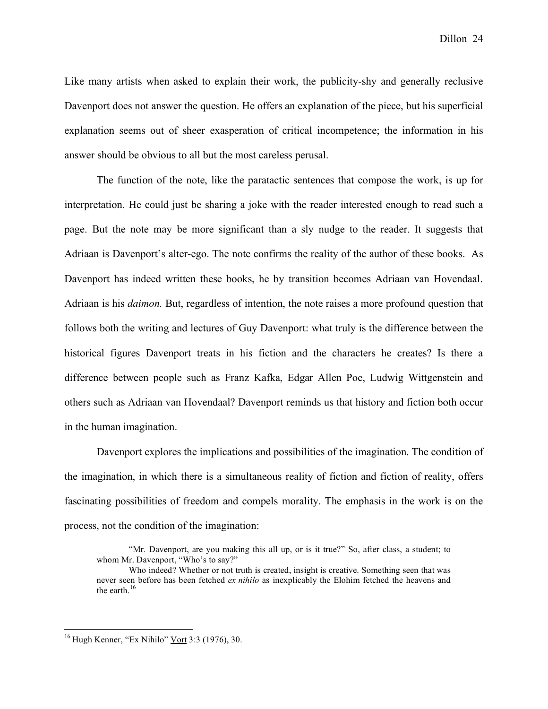Dillon 24

Like many artists when asked to explain their work, the publicity-shy and generally reclusive Davenport does not answer the question. He offers an explanation of the piece, but his superficial explanation seems out of sheer exasperation of critical incompetence; the information in his answer should be obvious to all but the most careless perusal.

The function of the note, like the paratactic sentences that compose the work, is up for interpretation. He could just be sharing a joke with the reader interested enough to read such a page. But the note may be more significant than a sly nudge to the reader. It suggests that Adriaan is Davenport's alter-ego. The note confirms the reality of the author of these books. As Davenport has indeed written these books, he by transition becomes Adriaan van Hovendaal. Adriaan is his *daimon.* But, regardless of intention, the note raises a more profound question that follows both the writing and lectures of Guy Davenport: what truly is the difference between the historical figures Davenport treats in his fiction and the characters he creates? Is there a difference between people such as Franz Kafka, Edgar Allen Poe, Ludwig Wittgenstein and others such as Adriaan van Hovendaal? Davenport reminds us that history and fiction both occur in the human imagination.

Davenport explores the implications and possibilities of the imagination. The condition of the imagination, in which there is a simultaneous reality of fiction and fiction of reality, offers fascinating possibilities of freedom and compels morality. The emphasis in the work is on the process, not the condition of the imagination:

<sup>&</sup>quot;Mr. Davenport, are you making this all up, or is it true?" So, after class, a student; to whom Mr. Davenport, "Who's to say?"

Who indeed? Whether or not truth is created, insight is creative. Something seen that was never seen before has been fetched *ex nihilo* as inexplicably the Elohim fetched the heavens and the earth.<sup>16</sup>

 $16$  Hugh Kenner, "Ex Nihilo" Vort 3:3 (1976), 30.